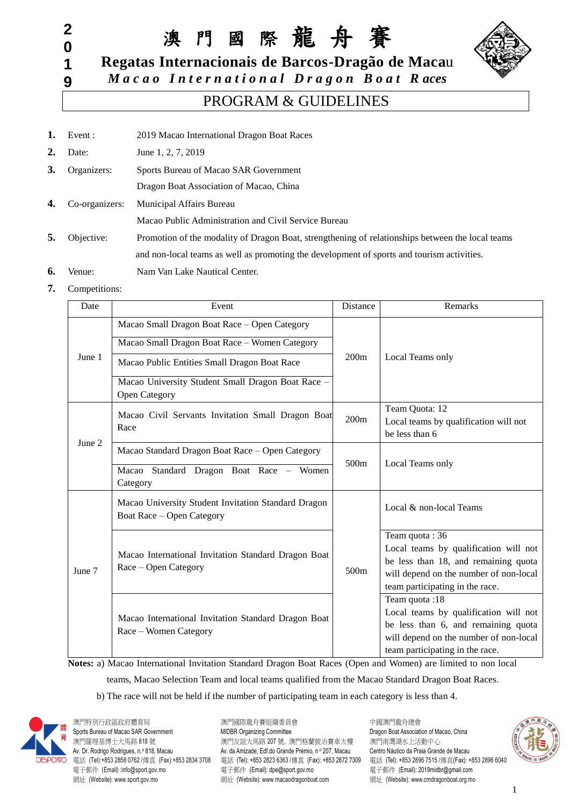**9**

澳 門 國 際 龍 舟 賽



**Regatas Internacionais de Barcos-Dragão de Maca**u

*M a c a o I n t e r n a t i o n a l D r a g o n B o a t R aces*

### PROGRAM & GUIDELINES

- 1. Event : 2019 Macao International Dragon Boat Races
- **2.** Date: June 1, 2, 7, 2019
- **3.** Organizers: Sports Bureau of Macao SAR Government
	- Dragon Boat Association of Macao, China
- **4.** Co-organizers: Municipal Affairs Bureau Macao Public Administration and Civil Service Bureau **5.** Objective: Promotion of the modality of Dragon Boat, strengthening of relationships between the local teams

and non-local teams as well as promoting the development of sports and tourism activities.

- **6.** Venue: Nam Van Lake Nautical Center.
- **7.** Competitions:

| Date             | Event                                                                            | Distance | Remarks                                                                   |  |
|------------------|----------------------------------------------------------------------------------|----------|---------------------------------------------------------------------------|--|
|                  | Macao Small Dragon Boat Race - Open Category                                     |          |                                                                           |  |
|                  | Macao Small Dragon Boat Race - Women Category                                    |          |                                                                           |  |
| June 1           | Macao Public Entities Small Dragon Boat Race                                     | 200m     | Local Teams only                                                          |  |
|                  | Macao University Student Small Dragon Boat Race -<br>Open Category               |          |                                                                           |  |
|                  | Macao Civil Servants Invitation Small Dragon Boat<br>Race                        | 200m     | Team Quota: 12<br>Local teams by qualification will not<br>be less than 6 |  |
|                  | Macao Standard Dragon Boat Race - Open Category                                  |          |                                                                           |  |
|                  | Standard Dragon Boat Race - Women<br>Macao<br>Category                           | 500m     | Local Teams only                                                          |  |
|                  | Macao University Student Invitation Standard Dragon<br>Boat Race - Open Category |          | Local & non-local Teams                                                   |  |
| June 2<br>June 7 |                                                                                  |          | Team quota: 36                                                            |  |
|                  | Macao International Invitation Standard Dragon Boat                              |          | Local teams by qualification will not                                     |  |
|                  | Race – Open Category                                                             | 500m     | be less than 18, and remaining quota                                      |  |
|                  |                                                                                  |          | will depend on the number of non-local<br>team participating in the race. |  |
|                  |                                                                                  |          | Team quota:18                                                             |  |
|                  | Macao International Invitation Standard Dragon Boat                              |          | Local teams by qualification will not                                     |  |
|                  | Race - Women Category                                                            |          | be less than 6, and remaining quota                                       |  |
|                  |                                                                                  |          | will depend on the number of non-local                                    |  |
|                  |                                                                                  |          | team participating in the race.                                           |  |

**Notes:** a) Macao International Invitation Standard Dragon Boat Races (Open and Women) are limited to non local

teams, Macao Selection Team and local teams qualified from the Macao Standard Dragon Boat Races.

b) The race will not be held if the number of participating team in each category is less than 4.



澳門特別行政區政府體育局 澳門國際龍舟賽組織委員會 中國澳門龍舟總會 Sports Bureau of Macao SAR Government MIDBR Organizing Committee Committee Dragon Boat Association of Macao, China 澳門羅理基博士大馬路 818 號 アンチャンス アンドランド アンドランド 演習格蘭披治賽車大樓 澳門南灣湖水上活動中心 Av. Dr. Rodrigo Rodrigues, n.º 818, Macau Av. da Amizade, Edf.do Grande Prémio, n.º 207, Macau Centro Náutico da Praia Grande de Macau 電話 (Tel):+853 2858 0762 /傳真 (Fax):+853 2834 3708 電話 (Tel): +853 2823 6363 /傳真 (Fax): +853 2872 7309 電話 (Tel): +853 2896 7515 /傳真(Fax): +853 2896 6040 電子郵件 (Email) :info@sport.gov.mo 電子郵件 (Email): dpe@sport.gov.mo 電子郵件 (Email): 2019midbr@gmail.com 網址 (Website): www.sport.gov.mo 網址 (Website): www.macaodragonboat.com 網址 (Website): www.cmdragonboat.org.mo

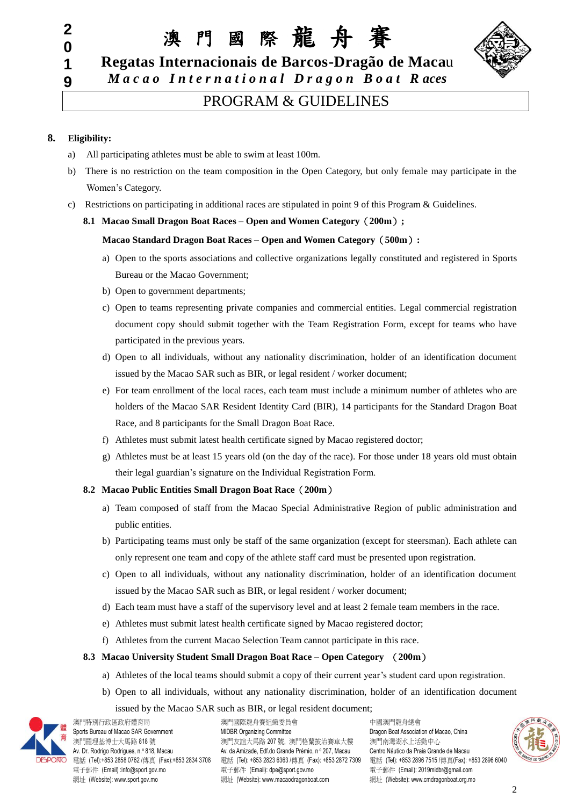澳 門 國 際 龍 舟 賽



**Regatas Internacionais de Barcos-Dragão de Maca**u *M a c a o I n t e r n a t i o n a l D r a g o n B o a t R aces*

### PROGRAM & GUIDELINES

### **8. Eligibility:**

- a) All participating athletes must be able to swim at least 100m.
- b) There is no restriction on the team composition in the Open Category, but only female may participate in the Women's Category.
- c) Restrictions on participating in additional races are stipulated in point 9 of this Program & Guidelines.

#### **8.1 Macao Small Dragon Boat Races** – **Open and Women Category**(**200m**)**;**

#### **Macao Standard Dragon Boat Races** – **Open and Women Category**(**500m**)**:**

- a) Open to the sports associations and collective organizations legally constituted and registered in Sports Bureau or the Macao Government;
- b) Open to government departments;
- c) Open to teams representing private companies and commercial entities. Legal commercial registration document copy should submit together with the Team Registration Form, except for teams who have participated in the previous years.
- d) Open to all individuals, without any nationality discrimination, holder of an identification document issued by the Macao SAR such as BIR, or legal resident / worker document;
- e) For team enrollment of the local races, each team must include a minimum number of athletes who are holders of the Macao SAR Resident Identity Card (BIR), 14 participants for the Standard Dragon Boat Race, and 8 participants for the Small Dragon Boat Race.
- f) Athletes must submit latest health certificate signed by Macao registered doctor;
- g) Athletes must be at least 15 years old (on the day of the race). For those under 18 years old must obtain their legal guardian's signature on the Individual Registration Form.

### **8.2 Macao Public Entities Small Dragon Boat Race**(**200m**)

- a) Team composed of staff from the Macao Special Administrative Region of public administration and public entities.
- b) Participating teams must only be staff of the same organization (except for steersman). Each athlete can only represent one team and copy of the athlete staff card must be presented upon registration.
- c) Open to all individuals, without any nationality discrimination, holder of an identification document issued by the Macao SAR such as BIR, or legal resident / worker document;
- d) Each team must have a staff of the supervisory level and at least 2 female team members in the race.
- e) Athletes must submit latest health certificate signed by Macao registered doctor;
- f) Athletes from the current Macao Selection Team cannot participate in this race.

### **8.3 Macao University Student Small Dragon Boat Race** – **Open Category** (**200m**)

- a) Athletes of the local teams should submit a copy of their current year's student card upon registration.
- b) Open to all individuals, without any nationality discrimination, holder of an identification document issued by the Macao SAR such as BIR, or legal resident document;



澳門特別行政區政府體育局 澳門國際龍舟賽組織委員會 中國澳門龍舟總會<br>Sports Bureau of Macao SAR Government MIDBR Organizing Committee Dragon Boat Associati

Sports Bureau of Macao SAR Government MIDBR Organizing Committee Committee Dragon Boat Association of Macao, China 澳門羅理基博士大馬路 818 號 ファンス アンス アンスコン アンストリン アメリカ アンス アンス 演判 アンストランド うまいん うまいん うまいん アンストランド Av. Dr. Rodrigo Rodrigues, n.º 818, Macau <br>Av. da Amizade, Edf.do Grande Prémio, nº 207, Macau Centro Náutico da Praia Grande de Macau 電子郵件 (Email) :info@sport.gov.mo 電子郵件 (Email): dpe@sport.gov.mo 電子郵件 (Email): 2019midbr@gmail.com 網址 (Website): www.sport.gov.mo <br>網址 (Website): www.sport.gov.mo

電話 (Tel):+853 2858 0762 /傳真 (Fax):+853 2834 3708 電話 (Tel): +853 2823 6363 /傳真 (Fax): +853 2872 7309 電話 (Tel): +853 2896 7515 /傳真(Fax): +853 2896 6040

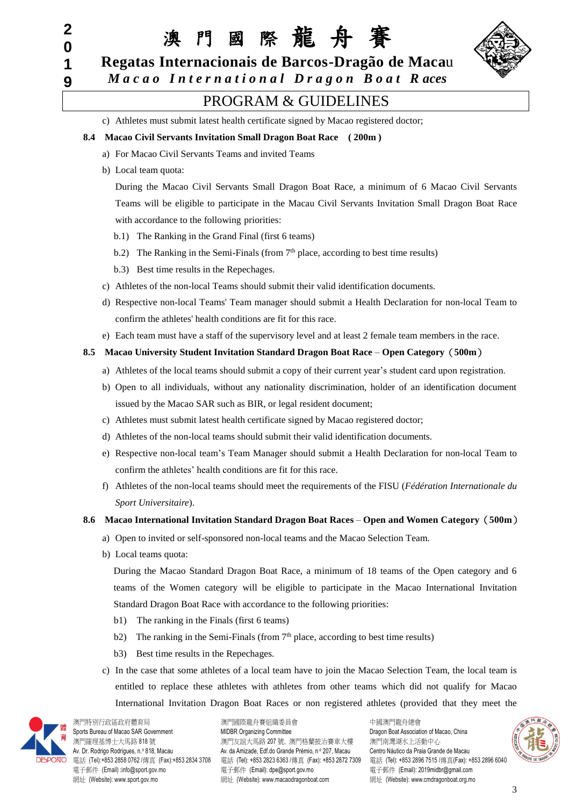澳 門 國 際 龍 舟 賽



**Regatas Internacionais de Barcos-Dragão de Maca**u *M a c a o I n t e r n a t i o n a l D r a g o n B o a t R aces*

### PROGRAM & GUIDELINES

c) Athletes must submit latest health certificate signed by Macao registered doctor;

### **8.4 Macao Civil Servants Invitation Small Dragon Boat Race ( 200m )**

- a) For Macao Civil Servants Teams and invited Teams
- b) Local team quota:

During the Macao Civil Servants Small Dragon Boat Race, a minimum of 6 Macao Civil Servants Teams will be eligible to participate in the Macau Civil Servants Invitation Small Dragon Boat Race with accordance to the following priorities:

- b.1) The Ranking in the Grand Final (first 6 teams)
- b.2) The Ranking in the Semi-Finals (from  $7<sup>th</sup>$  place, according to best time results)
- b.3) Best time results in the Repechages.
- c) Athletes of the non-local Teams should submit their valid identification documents.
- d) Respective non-local Teams' Team manager should submit a Health Declaration for non-local Team to confirm the athletes' health conditions are fit for this race.
- e) Each team must have a staff of the supervisory level and at least 2 female team members in the race.

### **8.5 Macao University Student Invitation Standard Dragon Boat Race** – **Open Category**(**500m**)

- a) Athletes of the local teams should submit a copy of their current year's student card upon registration.
- b) Open to all individuals, without any nationality discrimination, holder of an identification document issued by the Macao SAR such as BIR, or legal resident document;
- c) Athletes must submit latest health certificate signed by Macao registered doctor;
- d) Athletes of the non-local teams should submit their valid identification documents.
- e) Respective non-local team's Team Manager should submit a Health Declaration for non-local Team to confirm the athletes' health conditions are fit for this race.
- f) Athletes of the non-local teams should meet the requirements of the FISU (*Fédération Internationale du Sport Universitaire*).

### **8.6 Macao International Invitation Standard Dragon Boat Races** – **Open and Women Category**(**500m**)

- a) Open to invited or self-sponsored non-local teams and the Macao Selection Team.
- b) Local teams quota:

During the Macao Standard Dragon Boat Race, a minimum of 18 teams of the Open category and 6 teams of the Women category will be eligible to participate in the Macao International Invitation Standard Dragon Boat Race with accordance to the following priorities:

- b1) The ranking in the Finals (first 6 teams)
- b2) The ranking in the Semi-Finals (from  $7<sup>th</sup>$  place, according to best time results)
- b3) Best time results in the Repechages.
- c) In the case that some athletes of a local team have to join the Macao Selection Team, the local team is entitled to replace these athletes with athletes from other teams which did not qualify for Macao International Invitation Dragon Boat Races or non registered athletes (provided that they meet the



澳門特別行政區政府體育局 澳門國際龍舟賽組織委員會 中國澳門龍舟總會

Sports Bureau of Macao SAR Government MIDBR Organizing Committee **Committee Committee** Dragon Boat Association of Macao, China 澳門羅理基博士大馬路 818 號 ファンス アンス アンスコン アンストリン アメリカ アンス アンス 演判 アンストランド うまいん うまいん うまいん アンストランド Av. Dr. Rodrigo Rodrigues, n.º 818, Macau <br>Av. da Amizade, Edf.do Grande Prémio, n.º 207, Macau Centro Náutico da Praia Grande de Macau 電話 (Tel):+853 2858 0762 /傳真 (Fax):+853 2834 3708 電話 (Tel): +853 2823 6363 /傳真 (Fax): +853 2872 7309 電話 (Tel): +853 2896 7515 /傳真(Fax): +853 2896 6040 電子郵件 (Email) :info@sport.gov.mo 電子郵件 (Email): dpe@sport.gov.mo 電子郵件 (Email): 2019midbr@gmail.com 網址 (Website): www.sport.gov.mo <br>網址 (Website): www.sport.gov.mo

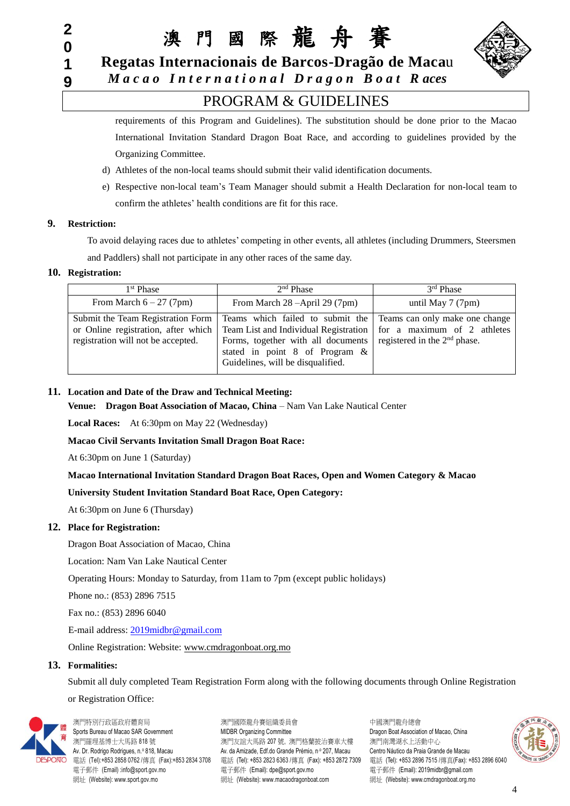澳 門 國 際 龍 舟 賽



**Regatas Internacionais de Barcos-Dragão de Maca**u

*M a c a o I n t e r n a t i o n a l D r a g o n B o a t R aces*

### PROGRAM & GUIDELINES

requirements of this Program and Guidelines). The substitution should be done prior to the Macao International Invitation Standard Dragon Boat Race, and according to guidelines provided by the Organizing Committee.

- d) Athletes of the non-local teams should submit their valid identification documents.
- e) Respective non-local team's Team Manager should submit a Health Declaration for non-local team to confirm the athletes' health conditions are fit for this race.

### **9. Restriction:**

To avoid delaying races due to athletes' competing in other events, all athletes (including Drummers, Steersmen and Paddlers) shall not participate in any other races of the same day.

### **10. Registration:**

| 1 <sup>st</sup> Phase              | 2 <sup>nd</sup> Phase                                                                                                                                                                                                                                                                             | 3 <sup>rd</sup> Phase                                            |
|------------------------------------|---------------------------------------------------------------------------------------------------------------------------------------------------------------------------------------------------------------------------------------------------------------------------------------------------|------------------------------------------------------------------|
| From March $6 - 27$ (7pm)          | From March $28 - April 29 (7pm)$                                                                                                                                                                                                                                                                  | until May $7(7 \text{pm})$                                       |
| registration will not be accepted. | Submit the Team Registration Form   Teams which failed to submit the<br>or Online registration, after which   Team List and Individual Registration   for a maximum of 2 athletes<br>Forms, together with all documents<br>stated in point 8 of Program $\&$<br>Guidelines, will be disqualified. | Teams can only make one change<br>registered in the $2nd$ phase. |

### **11. Location and Date of the Draw and Technical Meeting:**

**Venue: Dragon Boat Association of Macao, China** – Nam Van Lake Nautical Center

**Local Races:** At 6:30pm on May 22 (Wednesday)

**Macao Civil Servants Invitation Small Dragon Boat Race:** 

At 6:30pm on June 1 (Saturday)

### **Macao International Invitation Standard Dragon Boat Races, Open and Women Category & Macao**

### **University Student Invitation Standard Boat Race, Open Category:**

At 6:30pm on June 6 (Thursday)

### **12. Place for Registration:**

Dragon Boat Association of Macao, China

Location: Nam Van Lake Nautical Center

Operating Hours: Monday to Saturday, from 11am to 7pm (except public holidays)

Phone no.: (853) 2896 7515

Fax no.: (853) 2896 6040

E-mail address: [2019midbr@gmail.com](mailto:2018midbr@gmail.com)

Online Registration: Website: [www.cmdragonboat.org.mo](http://www.cmdragonboat.org.mo/)

#### **13. Formalities:**

Submit all duly completed Team Registration Form along with the following documents through Online Registration

or Registration Office:



澳門特別行政區政府體育局 澳門國際龍舟賽組織委員會 中國澳門龍舟總會

Sports Bureau of Macao SAR Government MIDBR Organizing Committee **Dragon Boat Association of Macao**, China 澳門羅理基博士大馬路 818 號 ファンス アンス アンスコン アンストリン アメリカ アンス アンス 演判 アンストランド うまいん うまいん うまいん アンストランド Av. Dr. Rodrigo Rodrigues, n.º 818, Macau <br>Av. da Amizade, Edf.do Grande Prémio, nº 207, Macau Centro Náutico da Praia Grande de Macau 電話 (Tel):+853 2858 0762 /傳真 (Fax):+853 2834 3708 電話 (Tel): +853 2823 6363 /傳真 (Fax): +853 2872 7309 電話 (Tel): +853 2896 7515 /傳真(Fax): +853 2896 6040 電子郵件 (Email) :info@sport.gov.mo 電子郵件 (Email): dpe@sport.gov.mo 電子郵件 (Email): 2019midbr@gmail.com 網址 (Website): www.sport.gov.mo <br>網址 (Website): www.sport.gov.mo

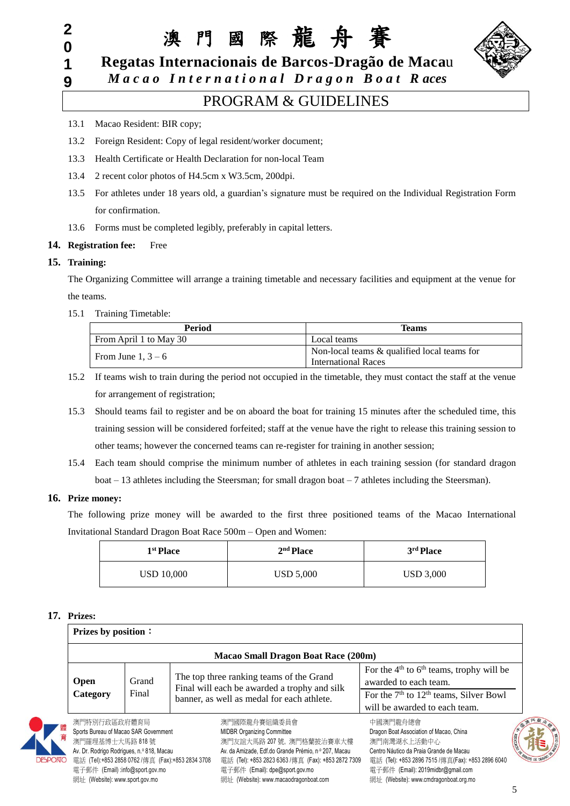澳 門 國 際 龍 舟 賽



**Regatas Internacionais de Barcos-Dragão de Maca**u

*M a c a o I n t e r n a t i o n a l D r a g o n B o a t R aces*

### PROGRAM & GUIDELINES

- 13.1 Macao Resident: BIR copy;
- 13.2 Foreign Resident: Copy of legal resident/worker document;
- 13.3 Health Certificate or Health Declaration for non-local Team
- 13.4 2 recent color photos of H4.5cm x W3.5cm, 200dpi.
- 13.5 For athletes under 18 years old, a guardian's signature must be required on the Individual Registration Form for confirmation.
- 13.6 Forms must be completed legibly, preferably in capital letters.

### **14. Registration fee:** Free

### **15. Training:**

The Organizing Committee will arrange a training timetable and necessary facilities and equipment at the venue for the teams.

### 15.1 Training Timetable:

| <b>Period</b>          | <b>Teams</b>                                                              |
|------------------------|---------------------------------------------------------------------------|
| From April 1 to May 30 | Local teams                                                               |
| From June $1, 3-6$     | Non-local teams & qualified local teams for<br><b>International Races</b> |

- 15.2 If teams wish to train during the period not occupied in the timetable, they must contact the staff at the venue for arrangement of registration;
- 15.3 Should teams fail to register and be on aboard the boat for training 15 minutes after the scheduled time, this training session will be considered forfeited; staff at the venue have the right to release this training session to other teams; however the concerned teams can re-register for training in another session;
- 15.4 Each team should comprise the minimum number of athletes in each training session (for standard dragon boat  $-13$  athletes including the Steersman; for small dragon boat  $-7$  athletes including the Steersman).

### **16. Prize money:**

The following prize money will be awarded to the first three positioned teams of the Macao International Invitational Standard Dragon Boat Race 500m – Open and Women:

| 1 <sup>st</sup> Place | 2 <sup>nd</sup> Place | 3 <sup>rd</sup> Place |
|-----------------------|-----------------------|-----------------------|
| USD 10,000            | USD 5,000             | USD 3,000             |

### **17. Prizes:**

|                                                                                                                       | <b>Prizes by position:</b>                 |                                                                                                                                        |                                                                                                                                                      |  |
|-----------------------------------------------------------------------------------------------------------------------|--------------------------------------------|----------------------------------------------------------------------------------------------------------------------------------------|------------------------------------------------------------------------------------------------------------------------------------------------------|--|
|                                                                                                                       | <b>Macao Small Dragon Boat Race (200m)</b> |                                                                                                                                        |                                                                                                                                                      |  |
| <b>Open</b><br>Category                                                                                               | Grand<br>Final                             | The top three ranking teams of the Grand<br>Final will each be awarded a trophy and silk<br>banner, as well as medal for each athlete. | For the $4th$ to $6th$ teams, trophy will be<br>awarded to each team.<br>For the $7th$ to $12th$ teams, Silver Bowl<br>will be awarded to each team. |  |
| 澳門特別行政區政府體育局<br>Sports Bureau of Macao SAR Government<br>澳門羅理基博士大馬路 818號<br>Av. Dr. Rodrigo Rodrigues, n.º 818, Macau |                                            | 澳門國際龍舟賽組織委員會<br><b>MIDBR Organizing Committee</b><br>澳門友誼大馬路 207號,澳門格蘭披治賽車大樓<br>Av. da Amizade, Edf.do Grande Prémio, nº 207, Macau    | 中國澳門龍舟總會<br><b>BESCRIPTION</b><br>Dragon Boat Association of Macao, China<br>澳門南灣湖水上活動中心<br>Centro Náutico da Praia Grande de Macau                  |  |



電話 (Tel):+853 2858 0762 /傳真 (Fax):+853 2834 3708 電話 (Tel): +853 2823 6363 /傳真 (Fax): +853 2872 7309 電話 (Tel): +853 2896 7515 /傳真(Fax): +853 2896 6040 電子郵件 (Email) :info@sport.gov.mo 電子郵件 (Email): dpe@sport.gov.mo 電子郵件 (Email): 2019midbr@gmail.com 網址 (Website): www.sport.gov.mo <br>網址 (Website): www.sport.gov.mo

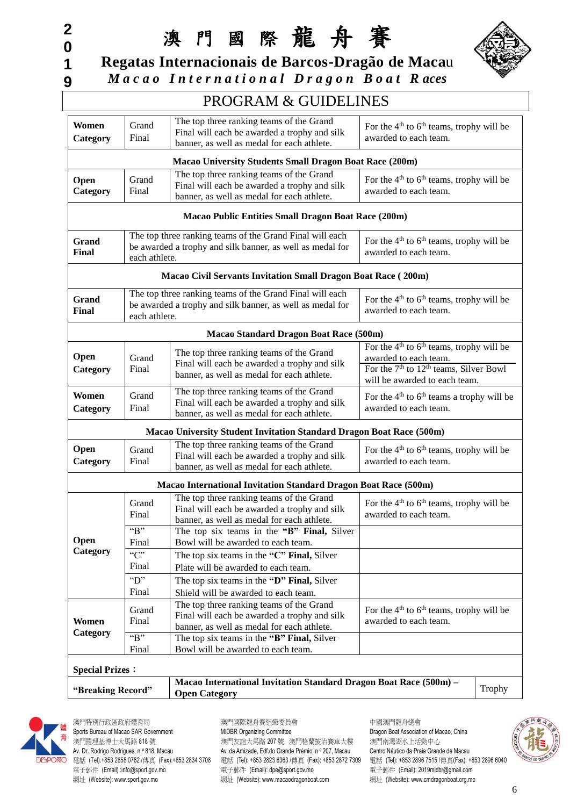澳 門 國 際 龍 舟 賽 **Regatas Internacionais de Barcos-Dragão de Maca**u



# PROGRAM & GUIDELINES

| Women<br>Category      | Grand<br>Final            | The top three ranking teams of the Grand<br>Final will each be awarded a trophy and silk<br>banner, as well as medal for each athlete. | For the $4th$ to $6th$ teams, trophy will be<br>awarded to each team.                                                                                                    |
|------------------------|---------------------------|----------------------------------------------------------------------------------------------------------------------------------------|--------------------------------------------------------------------------------------------------------------------------------------------------------------------------|
|                        |                           | <b>Macao University Students Small Dragon Boat Race (200m)</b>                                                                         |                                                                                                                                                                          |
| Open<br>Category       | Grand<br>Final            | The top three ranking teams of the Grand<br>Final will each be awarded a trophy and silk<br>banner, as well as medal for each athlete. | For the $4th$ to $6th$ teams, trophy will be<br>awarded to each team.                                                                                                    |
|                        |                           | Macao Public Entities Small Dragon Boat Race (200m)                                                                                    |                                                                                                                                                                          |
| Grand<br>Final         | each athlete.             | The top three ranking teams of the Grand Final will each<br>be awarded a trophy and silk banner, as well as medal for                  | For the $4th$ to $6th$ teams, trophy will be<br>awarded to each team.                                                                                                    |
|                        |                           | Macao Civil Servants Invitation Small Dragon Boat Race (200m)                                                                          |                                                                                                                                                                          |
| Grand<br>Final         | each athlete.             | The top three ranking teams of the Grand Final will each<br>be awarded a trophy and silk banner, as well as medal for                  | For the $4th$ to $6th$ teams, trophy will be<br>awarded to each team.                                                                                                    |
|                        |                           | <b>Macao Standard Dragon Boat Race (500m)</b>                                                                                          |                                                                                                                                                                          |
| Open<br>Category       | Grand<br>Final            | The top three ranking teams of the Grand<br>Final will each be awarded a trophy and silk<br>banner, as well as medal for each athlete. | For the $4th$ to $6th$ teams, trophy will be<br>awarded to each team.<br>For the 7 <sup>th</sup> to 12 <sup>th</sup> teams, Silver Bowl<br>will be awarded to each team. |
| Women<br>Category      | Grand<br>Final            | The top three ranking teams of the Grand<br>Final will each be awarded a trophy and silk<br>banner, as well as medal for each athlete. | For the $4th$ to $6th$ teams a trophy will be<br>awarded to each team.                                                                                                   |
|                        |                           | <b>Macao University Student Invitation Standard Dragon Boat Race (500m)</b>                                                            |                                                                                                                                                                          |
| Open<br>Category       | Grand<br>Final            | The top three ranking teams of the Grand<br>Final will each be awarded a trophy and silk<br>banner, as well as medal for each athlete. | For the $4th$ to $6th$ teams, trophy will be<br>awarded to each team.                                                                                                    |
|                        |                           | <b>Macao International Invitation Standard Dragon Boat Race (500m)</b>                                                                 |                                                                                                                                                                          |
|                        | Grand<br>Final<br>$B$ "   | The top three ranking teams of the Grand<br>Final will each be awarded a trophy and silk<br>banner, as well as medal for each athlete. | For the $4th$ to $6th$ teams, trophy will be<br>awarded to each team.                                                                                                    |
|                        | Final                     | The top six teams in the "B" Final, Silver<br>Bowl will be awarded to each team.                                                       |                                                                                                                                                                          |
| Open<br>Category       | $C$ .<br>Final            | The top six teams in the "C" Final, Silver<br>Plate will be awarded to each team.                                                      |                                                                                                                                                                          |
|                        | "D"<br>Final              | The top six teams in the "D" Final, Silver<br>Shield will be awarded to each team.                                                     |                                                                                                                                                                          |
| Women<br>Category      | Grand<br>Final            | The top three ranking teams of the Grand<br>Final will each be awarded a trophy and silk<br>banner, as well as medal for each athlete. | For the $4th$ to $6th$ teams, trophy will be<br>awarded to each team.                                                                                                    |
|                        | $B$ <sup>*</sup><br>Final | The top six teams in the "B" Final, Silver<br>Bowl will be awarded to each team.                                                       |                                                                                                                                                                          |
| <b>Special Prizes:</b> |                           |                                                                                                                                        |                                                                                                                                                                          |

|                   | $\mu$ Macao International Invitation Standard Dragon Boat Race (500m) – |        |
|-------------------|-------------------------------------------------------------------------|--------|
| "Breaking Record" | <b>Open Category</b>                                                    | Trophy |



澳門特別行政區政府體育局 澳門國際龍舟賽組織委員會 中國澳門龍舟總會 Sports Bureau of Macao SAR Government MIDBR Organizing Committee 網址 (Website): www.sport.gov.mo <br>網址 (Website): www.sport.gov.mo

澳門羅理基博士大馬路 818 號 2000 年 2000 演門友誼大馬路 207 號, 澳門格蘭披治賽車大樓 201 澳門南灣湖水上活動中心 Av. Dr. Rodrigo Rodrigues, n.º 818, Macau <br>Av. da Amizade, Edf.do Grande Prémio, n.º 207, Macau Centro Náutico da Praia Grande de Macau 電子郵件 (Email) :info@sport.gov.mo 電子郵件 (Email): dpe@sport.gov.mo 電子郵件 (Email): 2019midbr@gmail.com<br>網址 (Website): www.sport.gov.mo 網址 (Website): www.macaodragonboat.com 網址 (Website): www.cmdrago

電話 (Tel):+853 2858 0762 /傳真 (Fax):+853 2834 3708 電話 (Tel): +853 2823 6363 /傳真 (Fax): +853 2872 7309 電話 (Tel): +853 2896 7515 /傳真(Fax): +853 2896 6040



### 6